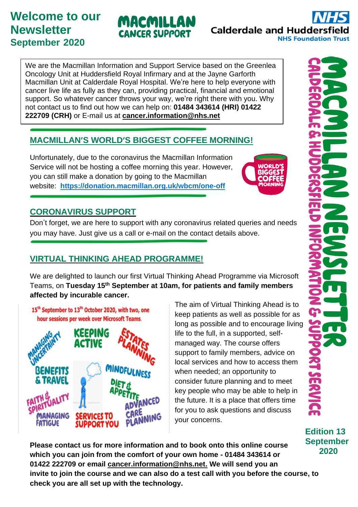# **Welcome to our Newsletter September 2020**

We are the Macmillan Information and Support Service based on the Greenlea Oncology Unit at Huddersfield Royal Infirmary and at the Jayne Garforth Macmillan Unit at Calderdale Royal Hospital. We're here to help everyone with cancer live life as fully as they can, providing practical, financial and emotional support. So whatever cancer throws your way, we're right there with you. Why not contact us to find out how we can help on: **01484 343614 (HRI) 01422 222709 (CRH)** or E-mail us at **[cancer.information@nhs.net](mailto:cancer.information@nhs.net)**

MACMILLAN

**CANCER SUPPORT** 

### **MACMILLAN'S WORLD'S BIGGEST COFFEE MORNING!**

Unfortunately, due to the coronavirus the Macmillan Information Service will not be hosting a coffee morning this year. However, you can still make a donation by going to the Macmillan website: **https://donation.macmillan.org.uk/wbcm/one-off**

# **CORONAVIRUS SUPPORT**

Don't forget, we are here to support with any coronavirus related queries and needs you may have. Just give us a call or e-mail on the contact details above.

## **VIRTUAL THINKING AHEAD PROGRAMME!**

We are delighted to launch our first Virtual Thinking Ahead Programme via Microsoft Teams, on **Tuesday 15th September at 10am, for patients and family members affected by incurable cancer.**

15<sup>th</sup> September to 13<sup>th</sup> October 2020, with two, one hour sessions per week over Microsoft Teams.



The aim of Virtual Thinking Ahead is to keep patients as well as possible for as long as possible and to encourage living life to the full, in a supported, selfmanaged way. The course offers support to family members, advice on local services and how to access them when needed; an opportunity to consider future planning and to meet key people who may be able to help in the future. It is a place that offers time for you to ask questions and discuss your concerns.

**Edition 13 September 2020**

**Please contact us for more information and to book onto this online course which you can join from the comfort of your own home - 01484 343614 or 01422 222709 or email [cancer.information@nhs.net.](mailto:cancer.information@n#hs.net) We will send you an invite to join the course and we can also do a test call with you before the course, to check you are all set up with the technology.**

**Calderdale and Huddersfield NHS Foundation Trust**